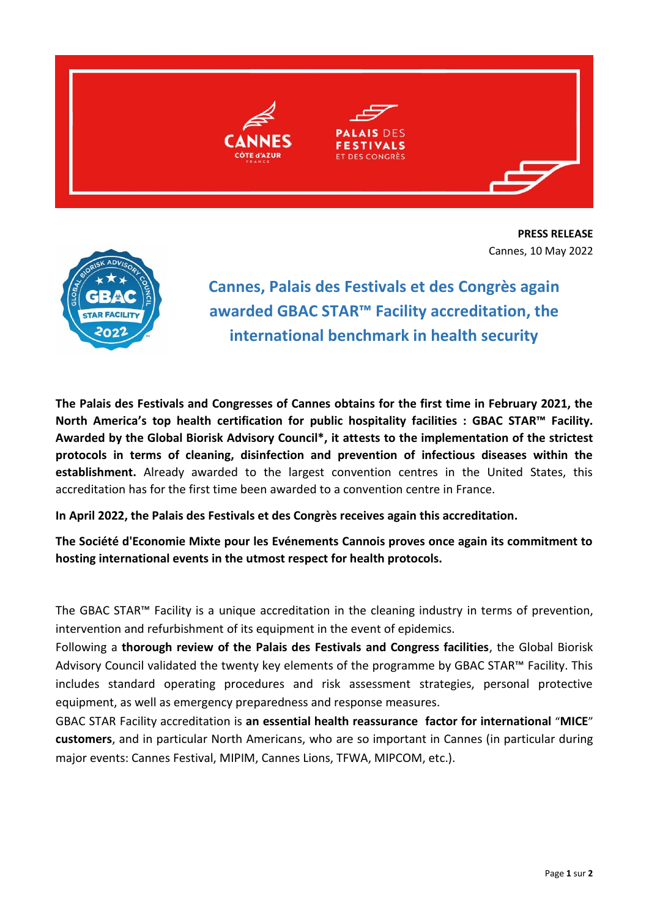

**PRESS RELEASE** Cannes, 10 May 2022



**Cannes, Palais des Festivals et des Congrès again awarded GBAC STAR™ Facility accreditation, the international benchmark in health security**

**The Palais des Festivals and Congresses of Cannes obtains for the first time in February 2021, the North America's top health certification for public hospitality facilities : GBAC STAR™ Facility. Awarded by the Global Biorisk Advisory Council\*, it attests to the implementation of the strictest protocols in terms of cleaning, disinfection and prevention of infectious diseases within the establishment.** Already awarded to the largest convention centres in the United States, this accreditation has for the first time been awarded to a convention centre in France.

**In April 2022, the Palais des Festivals et des Congrès receives again this accreditation.** 

**The Société d'Economie Mixte pour les Evénements Cannois proves once again its commitment to hosting international events in the utmost respect for health protocols.** 

The GBAC STAR™ Facility is a unique accreditation in the cleaning industry in terms of prevention, intervention and refurbishment of its equipment in the event of epidemics.

Following a **thorough review of the Palais des Festivals and Congress facilities**, the Global Biorisk Advisory Council validated the twenty key elements of the programme by GBAC STAR™ Facility. This includes standard operating procedures and risk assessment strategies, personal protective equipment, as well as emergency preparedness and response measures.

GBAC STAR Facility accreditation is **an essential health reassurance factor for international** "**MICE**" **customers**, and in particular North Americans, who are so important in Cannes (in particular during major events: Cannes Festival, MIPIM, Cannes Lions, TFWA, MIPCOM, etc.).